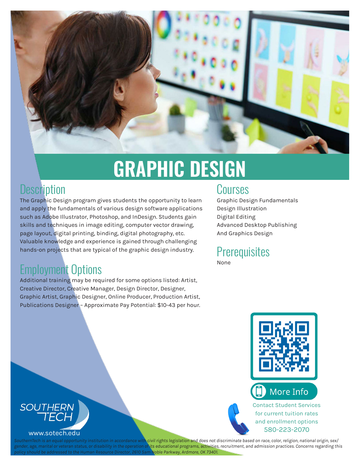

# **GRAPHIC DESIGN**

#### **Description**

The Graphic Design program gives students the opportunity to learn and apply the fundamentals of various design software applications such as Adobe Illustrator, Photoshop, and InDesign. Students gain skills and techniques in image editing, computer vector drawing, page layout, digital printing, binding, digital photography, etc. Valuable knowledge and experience is gained through challenging hands-on projects that are typical of the graphic design industry.

#### Employment Options

Additional training may be required for some options listed: Artist, Creative Director, Creative Manager, Design Director, Designer, Graphic Artist, Graphic Designer, Online Producer, Production Artist, Publications Designer – Approximate Pay Potential: \$10-43 per hour.

#### Courses

Graphic Design Fundamentals Design Illustration Digital Editing Advanced Desktop Publishing And Graphics Design

#### **Prerequisites** None





#### www.sotech.edu

*SouthernTech is an equal opportunity institution in accordance with civil rights legislation and does not discriminate based on race, color, religion, national origin, sex/ gender, age, marital or veteran status, or disability in the operation of its educational programs, activities, recruitment, and admission practices. Concerns regarding this policy should be addressed to the Human Resource Director, 2610 Sam Noble Parkway, Ardmore, OK 73401.*